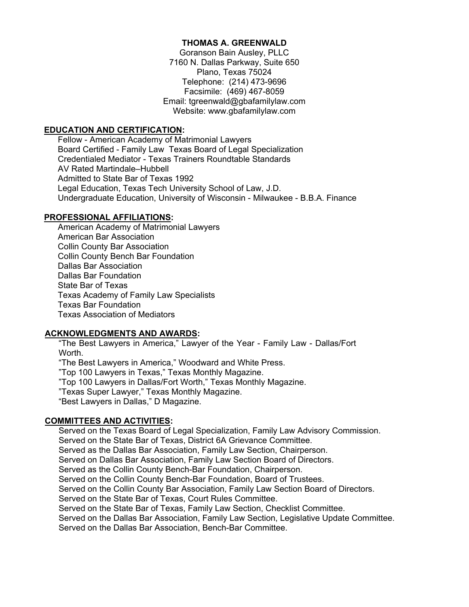## **THOMAS A. GREENWALD**

Goranson Bain Ausley, PLLC 7160 N. Dallas Parkway, Suite 650 Plano, Texas 75024 Telephone: (214) 473-9696 Facsimile: (469) 467-8059 Email: tgreenwald@gbafamilylaw.com Website: www.gbafamilylaw.com

## **EDUCATION AND CERTIFICATION:**

Fellow - American Academy of Matrimonial Lawyers Board Certified - Family Law Texas Board of Legal Specialization Credentialed Mediator - Texas Trainers Roundtable Standards AV Rated Martindale–Hubbell Admitted to State Bar of Texas 1992 Legal Education, Texas Tech University School of Law, J.D. Undergraduate Education, University of Wisconsin - Milwaukee - B.B.A. Finance

#### **PROFESSIONAL AFFILIATIONS:**

American Academy of Matrimonial Lawyers American Bar Association Collin County Bar Association Collin County Bench Bar Foundation Dallas Bar Association Dallas Bar Foundation State Bar of Texas Texas Academy of Family Law Specialists Texas Bar Foundation Texas Association of Mediators

#### **ACKNOWLEDGMENTS AND AWARDS:**

"The Best Lawyers in America," Lawyer of the Year - Family Law - Dallas/Fort Worth.

"The Best Lawyers in America," Woodward and White Press. "Top 100 Lawyers in Texas," Texas Monthly Magazine. "Top 100 Lawyers in Dallas/Fort Worth," Texas Monthly Magazine. "Texas Super Lawyer," Texas Monthly Magazine. "Best Lawyers in Dallas," D Magazine.

#### **COMMITTEES AND ACTIVITIES:**

Served on the Texas Board of Legal Specialization, Family Law Advisory Commission. Served on the State Bar of Texas, District 6A Grievance Committee. Served as the Dallas Bar Association, Family Law Section, Chairperson. Served on Dallas Bar Association, Family Law Section Board of Directors. Served as the Collin County Bench-Bar Foundation, Chairperson. Served on the Collin County Bench-Bar Foundation, Board of Trustees. Served on the Collin County Bar Association, Family Law Section Board of Directors. Served on the State Bar of Texas, Court Rules Committee. Served on the State Bar of Texas, Family Law Section, Checklist Committee. Served on the Dallas Bar Association, Family Law Section, Legislative Update Committee. Served on the Dallas Bar Association, Bench-Bar Committee.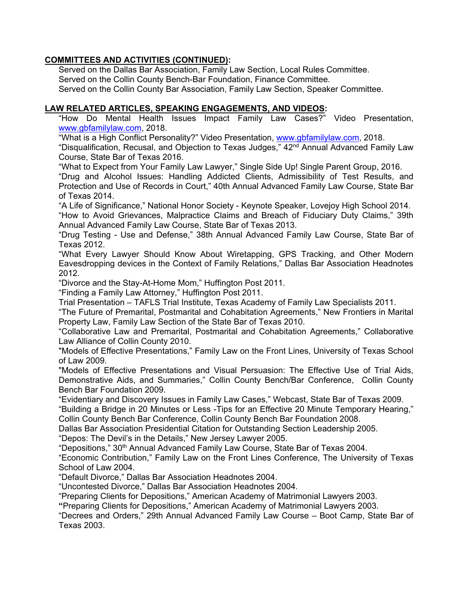# **COMMITTEES AND ACTIVITIES (CONTINUED):**

 Served on the Dallas Bar Association, Family Law Section, Local Rules Committee. Served on the Collin County Bench-Bar Foundation, Finance Committee. Served on the Collin County Bar Association, Family Law Section, Speaker Committee.

# **LAW RELATED ARTICLES, SPEAKING ENGAGEMENTS, AND VIDEOS:**

"How Do Mental Health Issues Impact Family Law Cases?" Video Presentation, [www.gbfamilylaw.com,](http://www.gbfamilylaw.com/) 2018.

"What is a High Conflict Personality?" Video Presentation, [www.gbfamilylaw.com,](http://www.gbfamilylaw.com/) 2018.

"Disqualification, Recusal, and Objection to Texas Judges," 42nd Annual Advanced Family Law Course, State Bar of Texas 2016.

"What to Expect from Your Family Law Lawyer," Single Side Up! Single Parent Group, 2016.

"Drug and Alcohol Issues: Handling Addicted Clients, Admissibility of Test Results, and Protection and Use of Records in Court," 40th Annual Advanced Family Law Course, State Bar of Texas 2014.

"A Life of Significance," National Honor Society - Keynote Speaker, Lovejoy High School 2014.

"How to Avoid Grievances, Malpractice Claims and Breach of Fiduciary Duty Claims," 39th Annual Advanced Family Law Course, State Bar of Texas 2013.

"Drug Testing - Use and Defense," 38th Annual Advanced Family Law Course, State Bar of Texas 2012.

"What Every Lawyer Should Know About Wiretapping, GPS Tracking, and Other Modern Eavesdropping devices in the Context of Family Relations," Dallas Bar Association Headnotes 2012.

"Divorce and the Stay-At-Home Mom," Huffington Post 2011.

"Finding a Family Law Attorney," Huffington Post 2011.

Trial Presentation – TAFLS Trial Institute, Texas Academy of Family Law Specialists 2011.

"The Future of Premarital, Postmarital and Cohabitation Agreements," New Frontiers in Marital Property Law, Family Law Section of the State Bar of Texas 2010.

"Collaborative Law and Premarital, Postmarital and Cohabitation Agreements," Collaborative Law Alliance of Collin County 2010.

"Models of Effective Presentations," Family Law on the Front Lines, University of Texas School of Law 2009.

"Models of Effective Presentations and Visual Persuasion: The Effective Use of Trial Aids, Demonstrative Aids, and Summaries," Collin County Bench/Bar Conference, Collin County Bench Bar Foundation 2009.

"Evidentiary and Discovery Issues in Family Law Cases," Webcast, State Bar of Texas 2009.

"Building a Bridge in 20 Minutes or Less -Tips for an Effective 20 Minute Temporary Hearing," Collin County Bench Bar Conference, Collin County Bench Bar Foundation 2008.

Dallas Bar Association Presidential Citation for Outstanding Section Leadership 2005.

"Depos: The Devil's in the Details," New Jersey Lawyer 2005.

"Depositions," 30th Annual Advanced Family Law Course, State Bar of Texas 2004.

"Economic Contribution," Family Law on the Front Lines Conference, The University of Texas School of Law 2004.

"Default Divorce," Dallas Bar Association Headnotes 2004.

"Uncontested Divorce," Dallas Bar Association Headnotes 2004.

"Preparing Clients for Depositions," American Academy of Matrimonial Lawyers 2003.

**"**Preparing Clients for Depositions," American Academy of Matrimonial Lawyers 2003.

"Decrees and Orders," 29th Annual Advanced Family Law Course – Boot Camp, State Bar of Texas 2003.